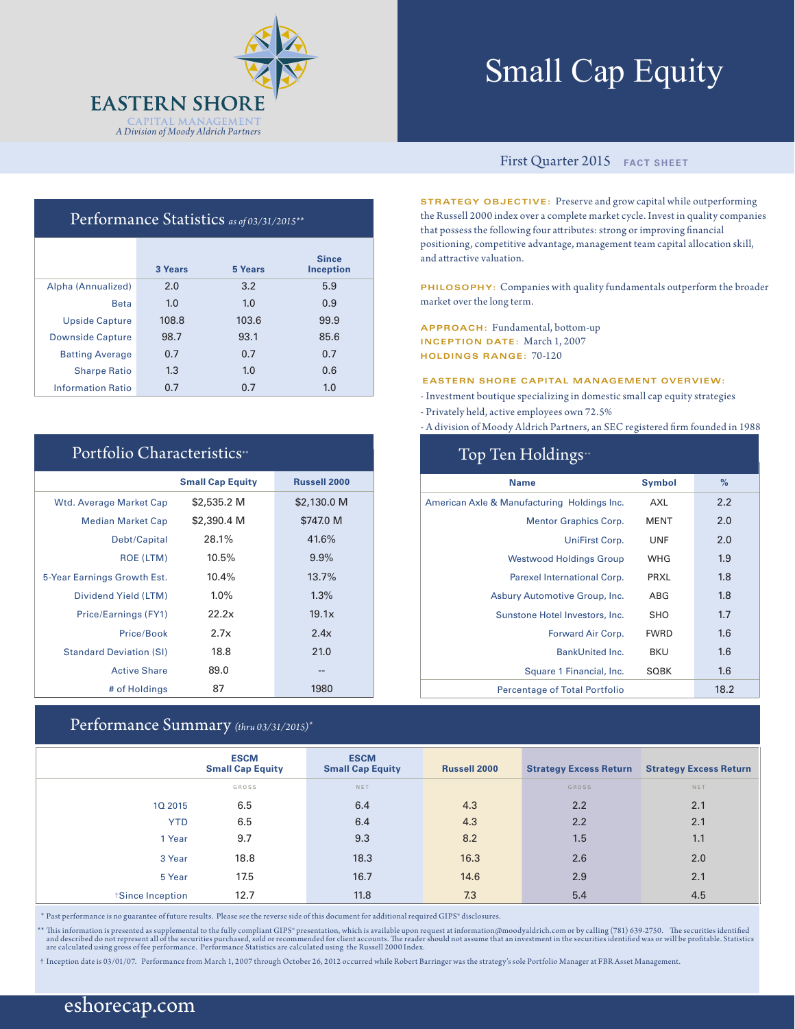

# Small Cap Equity

### First Quarter 2015 **FACT SHEET**

**STRATEGY OBJECTIVE:** Preserve and grow capital while outperforming the Russell 2000 index over a complete market cycle. Invest in quality companies that possess the following four attributes: strong or improving financial positioning, competitive advantage, management team capital allocation skill, and attractive valuation.

**PHILOSOPHY:** Companies with quality fundamentals outperform the broader market over the long term.

**APPROACH:** Fundamental, bottom-up **INCEPTION DATE:** March 1, 2007 **HOLDINGS RANGE:** 70-120

#### **EASTERN SHORE CAPITAL MANAGEMENT OVERVIEW:**

- Investment boutique specializing in domestic small cap equity strategies
- Privately held, active employees own 72.5%

- A division of Moody Aldrich Partners, an SEC registered firm founded in 1988

| Top Ten Holdings <sup>*</sup>               |               |      |  |  |
|---------------------------------------------|---------------|------|--|--|
| <b>Name</b>                                 | <b>Symbol</b> | $\%$ |  |  |
| American Axle & Manufacturing Holdings Inc. | AXL           | 2.2  |  |  |
| <b>Mentor Graphics Corp.</b>                | <b>MENT</b>   | 2.0  |  |  |
| UniFirst Corp.                              | <b>UNF</b>    | 2.0  |  |  |
| <b>Westwood Holdings Group</b>              | <b>WHG</b>    | 1.9  |  |  |
| Parexel International Corp.                 | PRXL          | 1.8  |  |  |
| Asbury Automotive Group, Inc.               | ABG           | 1.8  |  |  |
| Sunstone Hotel Investors, Inc.              | SHO           | 1.7  |  |  |
| Forward Air Corp.                           | <b>FWRD</b>   | 1.6  |  |  |
| <b>BankUnited Inc.</b>                      | <b>BKU</b>    | 1.6  |  |  |
| Square 1 Financial, Inc.                    | <b>SQBK</b>   | 1.6  |  |  |
| <b>Percentage of Total Portfolio</b>        |               | 18.2 |  |  |

| Performance Statistics as of 03/31/2015** |  |  |
|-------------------------------------------|--|--|
|-------------------------------------------|--|--|

|                          | 3 Years | 5 Years | <b>Since</b><br><b>Inception</b> |
|--------------------------|---------|---------|----------------------------------|
| Alpha (Annualized)       | 2.0     | 3.2     | 5.9                              |
| <b>Beta</b>              | 1.0     | 1.0     | 0.9                              |
| <b>Upside Capture</b>    | 108.8   | 103.6   | 99.9                             |
| <b>Downside Capture</b>  | 98.7    | 93.1    | 85.6                             |
| <b>Batting Average</b>   | 0.7     | 0.7     | 0.7                              |
| <b>Sharpe Ratio</b>      | 1.3     | 1.0     | 0.6                              |
| <b>Information Ratio</b> | 0.7     | 0.7     | 1.0                              |

#### Portfolio Characteristics\*\*

|                                | <b>Small Cap Equity</b> | <b>Russell 2000</b> |
|--------------------------------|-------------------------|---------------------|
| <b>Wtd. Average Market Cap</b> | \$2,535.2 M             | \$2,130.0 M         |
| <b>Median Market Cap</b>       | \$2,390.4 M             | \$747.0 M           |
| Debt/Capital                   | 28.1%                   | 41.6%               |
| <b>ROE (LTM)</b>               | 10.5%                   | 9.9%                |
| 5-Year Earnings Growth Est.    | 10.4%                   | 13.7%               |
| Dividend Yield (LTM)           | $1.0\%$                 | 1.3%                |
| Price/Earnings (FY1)           | 22.2x                   | 19.1x               |
| Price/Book                     | 2.7x                    | 2.4x                |
| <b>Standard Deviation (SI)</b> | 18.8                    | 21.0                |
| <b>Active Share</b>            | 89.0                    | --                  |
| # of Holdings                  | 87                      | 1980                |

#### Performance Summary *(thru 03/31/2015)\**

|                        | <b>ESCM</b><br><b>Small Cap Equity</b> | <b>ESCM</b><br><b>Small Cap Equity</b> | <b>Russell 2000</b> | <b>Strategy Excess Return</b> | <b>Strategy Excess Return</b> |
|------------------------|----------------------------------------|----------------------------------------|---------------------|-------------------------------|-------------------------------|
|                        | GROSS                                  | NET                                    |                     | <b>GROSS</b>                  | NET                           |
| 10 2015                | 6.5                                    | 6.4                                    | 4.3                 | 2.2                           | 2.1                           |
| <b>YTD</b>             | 6.5                                    | 6.4                                    | 4.3                 | 2.2                           | 2.1                           |
| 1 Year                 | 9.7                                    | 9.3                                    | 8.2                 | 1.5                           | 1.1                           |
| 3 Year                 | 18.8                                   | 18.3                                   | 16.3                | 2.6                           | 2.0                           |
| 5 Year                 | 17.5                                   | 16.7                                   | 14.6                | 2.9                           | 2.1                           |
| <b>Since Inception</b> | 12.7                                   | 11.8                                   | 7.3                 | 5.4                           | 4.5                           |

\* Past performance is no guarantee of future results. Please see the reverse side of this document for additional required GIPS® disclosures.

\*\* This information is presented as supplemental to the fully compliant GIPS\* presentation, which is available upon request at information@moodyaldrich.com or by calling (781) 639-2750. The securities identified and descri

† Inception date is 03/01/07. Performance from March 1, 2007 through October 26, 2012 occurred while Robert Barringer was the strategy's sole Portfolio Manager at FBR Asset Management.